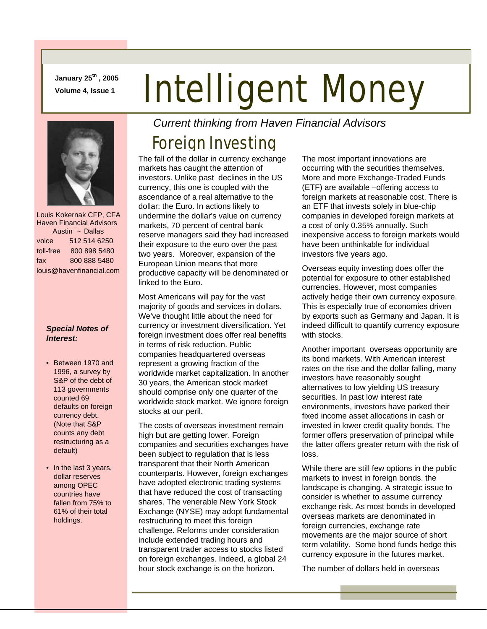**January 25th , 2005** 

# **January 25", 2005** Intelligent Money



 Louis Kokernak CFP, CFA Haven Financial Advisors Austin ~ Dallas voice 512 514 6250 toll-free 800 898 5480 fax 800 888 5480 louis@havenfinancial.com

### *Special Notes of Interest:*

- Between 1970 and 1996, a survey by S&P of the debt of 113 governments counted 69 defaults on foreign currency debt. (Note that S&P counts any debt restructuring as a default)
- In the last 3 years, dollar reserves among OPEC countries have fallen from 75% to 61% of their total holdings.

*Current thinking from Haven Financial Advisors* 

# Foreign Investing

The fall of the dollar in currency exchange markets has caught the attention of investors. Unlike past declines in the US currency, this one is coupled with the ascendance of a real alternative to the dollar: the Euro. In actions likely to undermine the dollar's value on currency markets, 70 percent of central bank reserve managers said they had increased their exposure to the euro over the past two years. Moreover, expansion of the European Union means that more productive capacity will be denominated or linked to the Euro.

Most Americans will pay for the vast majority of goods and services in dollars. We've thought little about the need for currency or investment diversification. Yet foreign investment does offer real benefits in terms of risk reduction. Public companies headquartered overseas represent a growing fraction of the worldwide market capitalization. In another 30 years, the American stock market should comprise only one quarter of the worldwide stock market. We ignore foreign stocks at our peril.

The costs of overseas investment remain high but are getting lower. Foreign companies and securities exchanges have been subject to regulation that is less transparent that their North American counterparts. However, foreign exchanges have adopted electronic trading systems that have reduced the cost of transacting shares. The venerable New York Stock Exchange (NYSE) may adopt fundamental restructuring to meet this foreign challenge. Reforms under consideration include extended trading hours and transparent trader access to stocks listed on foreign exchanges. Indeed, a global 24 hour stock exchange is on the horizon.

The most important innovations are occurring with the securities themselves. More and more Exchange-Traded Funds (ETF) are available –offering access to foreign markets at reasonable cost. There is an ETF that invests solely in blue-chip companies in developed foreign markets at a cost of only 0.35% annually. Such inexpensive access to foreign markets would have been unthinkable for individual investors five years ago.

Overseas equity investing does offer the potential for exposure to other established currencies. However, most companies actively hedge their own currency exposure. This is especially true of economies driven by exports such as Germany and Japan. It is indeed difficult to quantify currency exposure with stocks.

Another important overseas opportunity are its bond markets. With American interest rates on the rise and the dollar falling, many investors have reasonably sought alternatives to low yielding US treasury securities. In past low interest rate environments, investors have parked their fixed income asset allocations in cash or invested in lower credit quality bonds. The former offers preservation of principal while the latter offers greater return with the risk of loss.

While there are still few options in the public markets to invest in foreign bonds. the landscape is changing. A strategic issue to consider is whether to assume currency exchange risk. As most bonds in developed overseas markets are denominated in foreign currencies, exchange rate movements are the major source of short term volatility. Some bond funds hedge this currency exposure in the futures market.

The number of dollars held in overseas